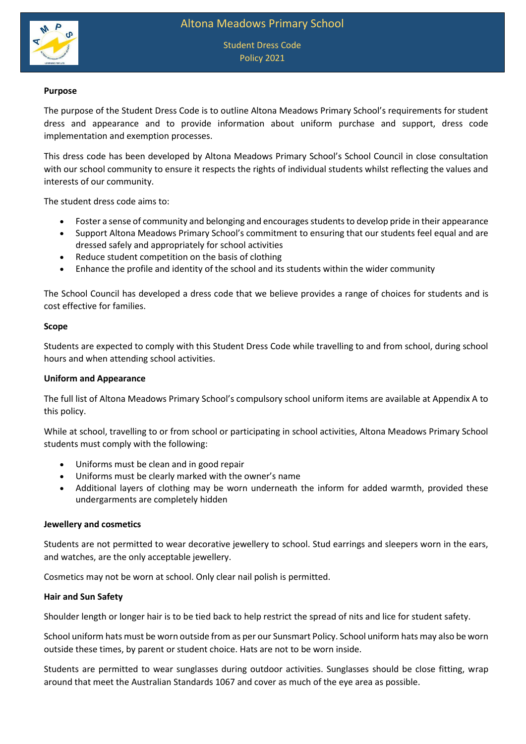

Student Dress Code Policy 2021

### **Purpose**

The purpose of the Student Dress Code is to outline Altona Meadows Primary School's requirements for student dress and appearance and to provide information about uniform purchase and support, dress code implementation and exemption processes.

This dress code has been developed by Altona Meadows Primary School's School Council in close consultation with our school community to ensure it respects the rights of individual students whilst reflecting the values and interests of our community.

The student dress code aims to:

- Foster a sense of community and belonging and encourages students to develop pride in their appearance
- Support Altona Meadows Primary School's commitment to ensuring that our students feel equal and are dressed safely and appropriately for school activities
- Reduce student competition on the basis of clothing
- Enhance the profile and identity of the school and its students within the wider community

The School Council has developed a dress code that we believe provides a range of choices for students and is cost effective for families.

#### **Scope**

Students are expected to comply with this Student Dress Code while travelling to and from school, during school hours and when attending school activities.

#### **Uniform and Appearance**

The full list of Altona Meadows Primary School's compulsory school uniform items are available at Appendix A to this policy.

While at school, travelling to or from school or participating in school activities, Altona Meadows Primary School students must comply with the following:

- Uniforms must be clean and in good repair
- Uniforms must be clearly marked with the owner's name
- Additional layers of clothing may be worn underneath the inform for added warmth, provided these undergarments are completely hidden

#### **Jewellery and cosmetics**

Students are not permitted to wear decorative jewellery to school. Stud earrings and sleepers worn in the ears, and watches, are the only acceptable jewellery.

Cosmetics may not be worn at school. Only clear nail polish is permitted.

#### **Hair and Sun Safety**

Shoulder length or longer hair is to be tied back to help restrict the spread of nits and lice for student safety.

School uniform hats must be worn outside from as per our Sunsmart Policy. School uniform hats may also be worn outside these times, by parent or student choice. Hats are not to be worn inside.

Students are permitted to wear sunglasses during outdoor activities. Sunglasses should be close fitting, wrap around that meet the Australian Standards 1067 and cover as much of the eye area as possible.